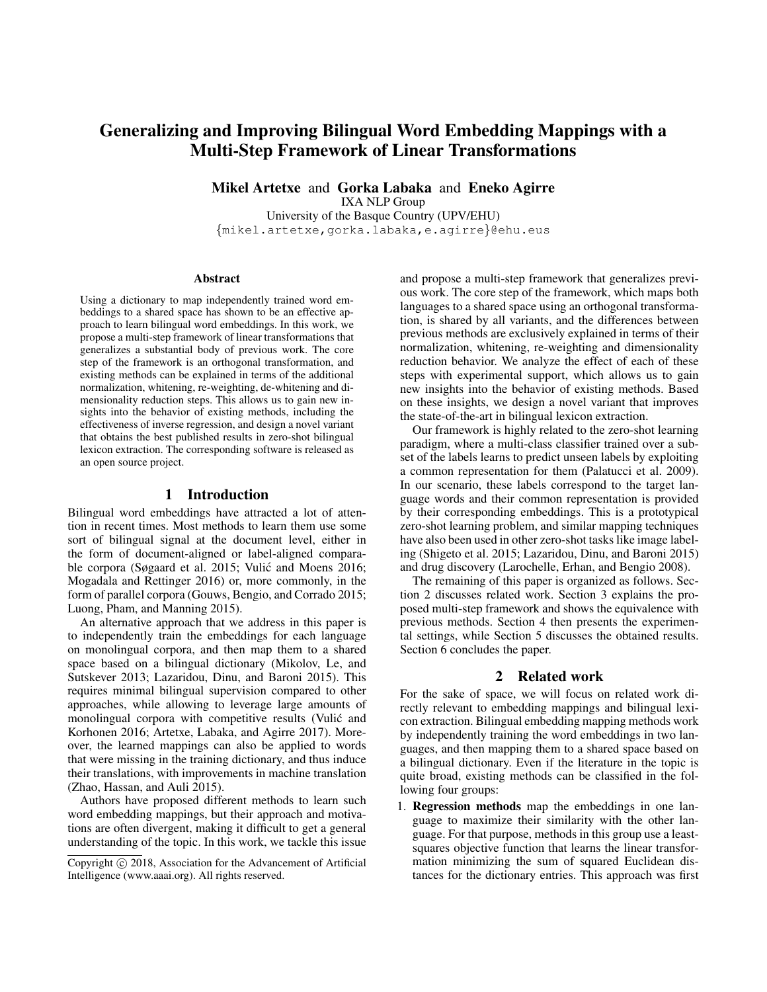# Generalizing and Improving Bilingual Word Embedding Mappings with a Multi-Step Framework of Linear Transformations

Mikel Artetxe and Gorka Labaka and Eneko Agirre

IXA NLP Group

University of the Basque Country (UPV/EHU) {mikel.artetxe,gorka.labaka,e.agirre}@ehu.eus

#### Abstract

Using a dictionary to map independently trained word embeddings to a shared space has shown to be an effective approach to learn bilingual word embeddings. In this work, we propose a multi-step framework of linear transformations that generalizes a substantial body of previous work. The core step of the framework is an orthogonal transformation, and existing methods can be explained in terms of the additional normalization, whitening, re-weighting, de-whitening and dimensionality reduction steps. This allows us to gain new insights into the behavior of existing methods, including the effectiveness of inverse regression, and design a novel variant that obtains the best published results in zero-shot bilingual lexicon extraction. The corresponding software is released as an open source project.

# 1 Introduction

Bilingual word embeddings have attracted a lot of attention in recent times. Most methods to learn them use some sort of bilingual signal at the document level, either in the form of document-aligned or label-aligned comparable corpora (Søgaard et al. 2015; Vulić and Moens 2016; Mogadala and Rettinger 2016) or, more commonly, in the form of parallel corpora (Gouws, Bengio, and Corrado 2015; Luong, Pham, and Manning 2015).

An alternative approach that we address in this paper is to independently train the embeddings for each language on monolingual corpora, and then map them to a shared space based on a bilingual dictionary (Mikolov, Le, and Sutskever 2013; Lazaridou, Dinu, and Baroni 2015). This requires minimal bilingual supervision compared to other approaches, while allowing to leverage large amounts of monolingual corpora with competitive results (Vulic and Korhonen 2016; Artetxe, Labaka, and Agirre 2017). Moreover, the learned mappings can also be applied to words that were missing in the training dictionary, and thus induce their translations, with improvements in machine translation (Zhao, Hassan, and Auli 2015).

Authors have proposed different methods to learn such word embedding mappings, but their approach and motivations are often divergent, making it difficult to get a general understanding of the topic. In this work, we tackle this issue

and propose a multi-step framework that generalizes previous work. The core step of the framework, which maps both languages to a shared space using an orthogonal transformation, is shared by all variants, and the differences between previous methods are exclusively explained in terms of their normalization, whitening, re-weighting and dimensionality reduction behavior. We analyze the effect of each of these steps with experimental support, which allows us to gain new insights into the behavior of existing methods. Based on these insights, we design a novel variant that improves the state-of-the-art in bilingual lexicon extraction.

Our framework is highly related to the zero-shot learning paradigm, where a multi-class classifier trained over a subset of the labels learns to predict unseen labels by exploiting a common representation for them (Palatucci et al. 2009). In our scenario, these labels correspond to the target language words and their common representation is provided by their corresponding embeddings. This is a prototypical zero-shot learning problem, and similar mapping techniques have also been used in other zero-shot tasks like image labeling (Shigeto et al. 2015; Lazaridou, Dinu, and Baroni 2015) and drug discovery (Larochelle, Erhan, and Bengio 2008).

The remaining of this paper is organized as follows. Section 2 discusses related work. Section 3 explains the proposed multi-step framework and shows the equivalence with previous methods. Section 4 then presents the experimental settings, while Section 5 discusses the obtained results. Section 6 concludes the paper.

# 2 Related work

For the sake of space, we will focus on related work directly relevant to embedding mappings and bilingual lexicon extraction. Bilingual embedding mapping methods work by independently training the word embeddings in two languages, and then mapping them to a shared space based on a bilingual dictionary. Even if the literature in the topic is quite broad, existing methods can be classified in the following four groups:

1. Regression methods map the embeddings in one language to maximize their similarity with the other language. For that purpose, methods in this group use a leastsquares objective function that learns the linear transformation minimizing the sum of squared Euclidean distances for the dictionary entries. This approach was first

Copyright  $\odot$  2018, Association for the Advancement of Artificial Intelligence (www.aaai.org). All rights reserved.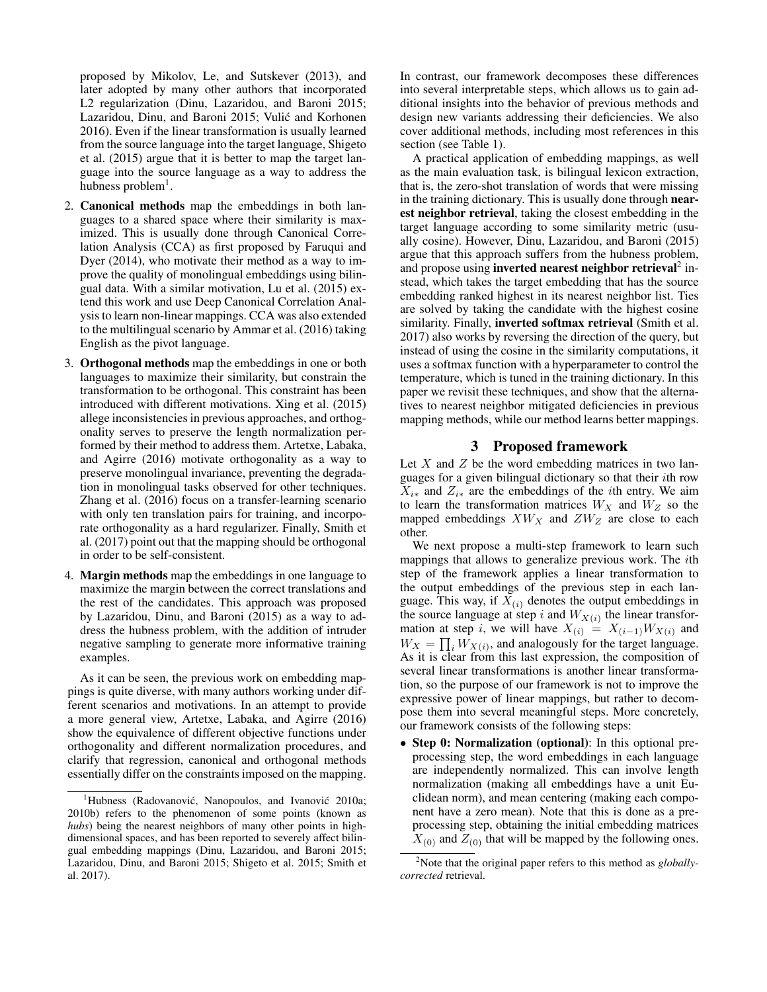proposed by Mikolov, Le, and Sutskever (2013), and later adopted by many other authors that incorporated L2 regularization (Dinu, Lazaridou, and Baroni 2015; Lazaridou, Dinu, and Baroni 2015; Vulić and Korhonen 2016). Even if the linear transformation is usually learned from the source language into the target language, Shigeto et al. (2015) argue that it is better to map the target language into the source language as a way to address the hubness problem<sup>1</sup>.

- 2. Canonical methods map the embeddings in both languages to a shared space where their similarity is maximized. This is usually done through Canonical Correlation Analysis (CCA) as first proposed by Faruqui and Dyer (2014), who motivate their method as a way to improve the quality of monolingual embeddings using bilingual data. With a similar motivation, Lu et al. (2015) extend this work and use Deep Canonical Correlation Analysis to learn non-linear mappings. CCA was also extended to the multilingual scenario by Ammar et al. (2016) taking English as the pivot language.
- 3. Orthogonal methods map the embeddings in one or both languages to maximize their similarity, but constrain the transformation to be orthogonal. This constraint has been introduced with different motivations. Xing et al. (2015) allege inconsistencies in previous approaches, and orthogonality serves to preserve the length normalization performed by their method to address them. Artetxe, Labaka, and Agirre (2016) motivate orthogonality as a way to preserve monolingual invariance, preventing the degradation in monolingual tasks observed for other techniques. Zhang et al. (2016) focus on a transfer-learning scenario with only ten translation pairs for training, and incorporate orthogonality as a hard regularizer. Finally, Smith et al. (2017) point out that the mapping should be orthogonal in order to be self-consistent.
- 4. Margin methods map the embeddings in one language to maximize the margin between the correct translations and the rest of the candidates. This approach was proposed by Lazaridou, Dinu, and Baroni (2015) as a way to address the hubness problem, with the addition of intruder negative sampling to generate more informative training examples.

As it can be seen, the previous work on embedding mappings is quite diverse, with many authors working under different scenarios and motivations. In an attempt to provide a more general view, Artetxe, Labaka, and Agirre (2016) show the equivalence of different objective functions under orthogonality and different normalization procedures, and clarify that regression, canonical and orthogonal methods essentially differ on the constraints imposed on the mapping. In contrast, our framework decomposes these differences into several interpretable steps, which allows us to gain additional insights into the behavior of previous methods and design new variants addressing their deficiencies. We also cover additional methods, including most references in this section (see Table 1).

A practical application of embedding mappings, as well as the main evaluation task, is bilingual lexicon extraction, that is, the zero-shot translation of words that were missing in the training dictionary. This is usually done through **near**est neighbor retrieval, taking the closest embedding in the target language according to some similarity metric (usually cosine). However, Dinu, Lazaridou, and Baroni (2015) argue that this approach suffers from the hubness problem, and propose using inverted nearest neighbor retrieval<sup>2</sup> instead, which takes the target embedding that has the source embedding ranked highest in its nearest neighbor list. Ties are solved by taking the candidate with the highest cosine similarity. Finally, **inverted softmax retrieval** (Smith et al. 2017) also works by reversing the direction of the query, but instead of using the cosine in the similarity computations, it uses a softmax function with a hyperparameter to control the temperature, which is tuned in the training dictionary. In this paper we revisit these techniques, and show that the alternatives to nearest neighbor mitigated deficiencies in previous mapping methods, while our method learns better mappings.

## 3 Proposed framework

Let  $X$  and  $Z$  be the word embedding matrices in two languages for a given bilingual dictionary so that their ith row  $X_{i*}$  and  $Z_{i*}$  are the embeddings of the *i*th entry. We aim to learn the transformation matrices  $W_X$  and  $W_Z$  so the mapped embeddings  $XW_X$  and  $ZW_Z$  are close to each other.

We next propose a multi-step framework to learn such mappings that allows to generalize previous work. The ith step of the framework applies a linear transformation to the output embeddings of the previous step in each language. This way, if  $X_{(i)}$  denotes the output embeddings in the source language at step i and  $W_{X(i)}$  the linear transformation at step i, we will have  $X_{(i)} = X_{(i-1)}W_{X(i)}$  and  $W_X = \prod_i W_{X(i)}$ , and analogously for the target language. As it is clear from this last expression, the composition of several linear transformations is another linear transformation, so the purpose of our framework is not to improve the expressive power of linear mappings, but rather to decompose them into several meaningful steps. More concretely, our framework consists of the following steps:

• Step 0: Normalization (optional): In this optional preprocessing step, the word embeddings in each language are independently normalized. This can involve length normalization (making all embeddings have a unit Euclidean norm), and mean centering (making each component have a zero mean). Note that this is done as a preprocessing step, obtaining the initial embedding matrices  $X_{(0)}$  and  $Z_{(0)}$  that will be mapped by the following ones.

<sup>&</sup>lt;sup>1</sup>Hubness (Radovanović, Nanopoulos, and Ivanović 2010a; 2010b) refers to the phenomenon of some points (known as *hubs*) being the nearest neighbors of many other points in highdimensional spaces, and has been reported to severely affect bilingual embedding mappings (Dinu, Lazaridou, and Baroni 2015; Lazaridou, Dinu, and Baroni 2015; Shigeto et al. 2015; Smith et al. 2017).

<sup>2</sup>Note that the original paper refers to this method as *globallycorrected* retrieval.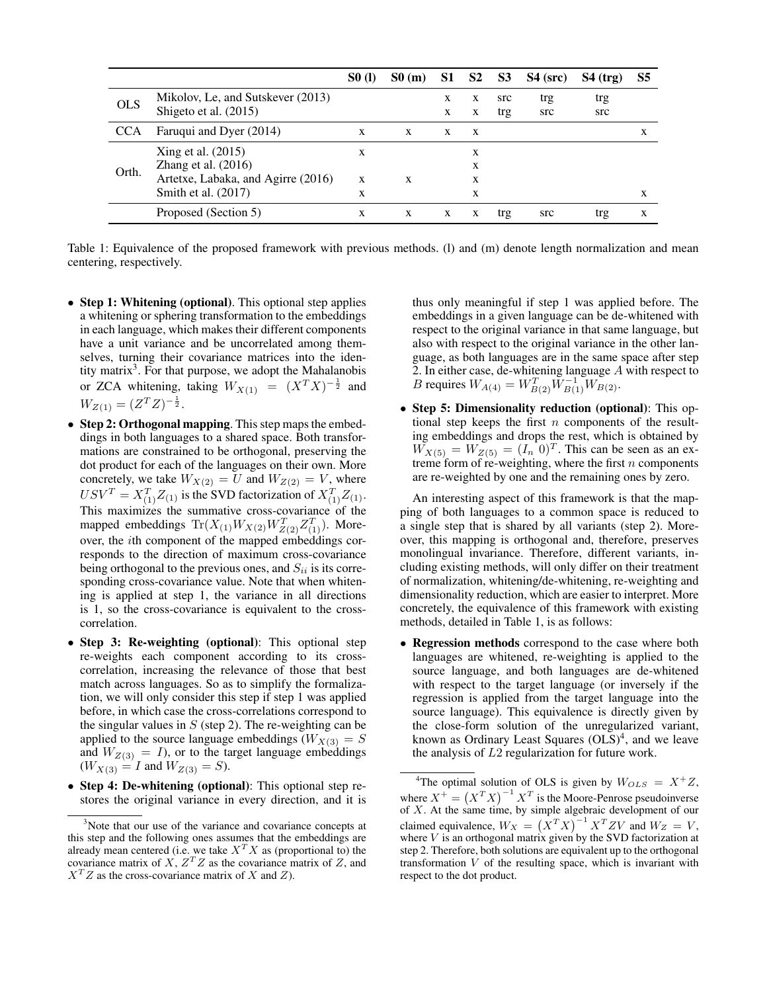|            |                                                              | <b>SO</b> (1) | $S_0(m)$ |        | S1 S2 S3 |            | $S4$ (src) | $S4$ (trg) | S5 |
|------------|--------------------------------------------------------------|---------------|----------|--------|----------|------------|------------|------------|----|
| <b>OLS</b> | Mikolov, Le, and Sutskever (2013)<br>Shigeto et al. $(2015)$ |               |          | X<br>X | X<br>X   | src<br>trg | trg<br>src | trg<br>src |    |
| <b>CCA</b> | Faruqui and Dyer (2014)                                      | X             | X        | X      | X        |            |            |            | X  |
| Orth.      | Xing et al. (2015)<br>Zhang et al. (2016)                    | X             |          |        | X<br>X   |            |            |            |    |
|            | Artetxe, Labaka, and Agirre (2016)<br>Smith et al. $(2017)$  | X<br>X        | X        |        | X<br>X   |            |            |            | X  |
|            | Proposed (Section 5)                                         | X             | X        | X      | X        | trg        | src        | trg        | X  |

Table 1: Equivalence of the proposed framework with previous methods. (l) and (m) denote length normalization and mean centering, respectively.

- Step 1: Whitening (optional). This optional step applies a whitening or sphering transformation to the embeddings in each language, which makes their different components have a unit variance and be uncorrelated among themselves, turning their covariance matrices into the identity matrix<sup>3</sup>. For that purpose, we adopt the Mahalanobis or ZCA whitening, taking  $W_{X(1)} = (X^T X)^{-\frac{1}{2}}$  and  $W_{Z(1)} = (Z^T Z)^{-\frac{1}{2}}.$
- Step 2: Orthogonal mapping. This step maps the embeddings in both languages to a shared space. Both transformations are constrained to be orthogonal, preserving the dot product for each of the languages on their own. More concretely, we take  $W_{X(2)} = U$  and  $W_{Z(2)} = V$ , where  $USV^T = X_{(1)}^T Z_{(1)}$  is the SVD factorization of  $X_{(1)}^T Z_{(1)}$ . This maximizes the summative cross-covariance of the mapped embeddings  $\text{Tr}(X_{(1)}W_{X(2)}W_{Z(2)}^TZ_{(1)}^T)$ . Moreover, the ith component of the mapped embeddings corresponds to the direction of maximum cross-covariance being orthogonal to the previous ones, and  $S_{ii}$  is its corresponding cross-covariance value. Note that when whitening is applied at step 1, the variance in all directions is 1, so the cross-covariance is equivalent to the crosscorrelation.
- Step 3: Re-weighting (optional): This optional step re-weights each component according to its crosscorrelation, increasing the relevance of those that best match across languages. So as to simplify the formalization, we will only consider this step if step 1 was applied before, in which case the cross-correlations correspond to the singular values in  $S$  (step 2). The re-weighting can be applied to the source language embeddings ( $W_{X(3)} = S$ and  $W_{Z(3)} = I$ ), or to the target language embeddings  $(W_{X(3)} = I$  and  $W_{Z(3)} = S$ ).
- Step 4: De-whitening (optional): This optional step restores the original variance in every direction, and it is

thus only meaningful if step 1 was applied before. The embeddings in a given language can be de-whitened with respect to the original variance in that same language, but also with respect to the original variance in the other language, as both languages are in the same space after step 2. In either case, de-whitening language A with respect to *B* requires  $W_{A(4)} = W_{B(2)}^T \widetilde{W}_{B(1)}^{-1} \widetilde{W}_{B(2)}$ .

• Step 5: Dimensionality reduction (optional): This optional step keeps the first  $n$  components of the resulting embeddings and drops the rest, which is obtained by  $\widetilde{W}_{X(5)} = \widetilde{W}_{Z(5)} = (I_n \ 0)^T$ . This can be seen as an extreme form of re-weighting, where the first  $n$  components are re-weighted by one and the remaining ones by zero.

An interesting aspect of this framework is that the mapping of both languages to a common space is reduced to a single step that is shared by all variants (step 2). Moreover, this mapping is orthogonal and, therefore, preserves monolingual invariance. Therefore, different variants, including existing methods, will only differ on their treatment of normalization, whitening/de-whitening, re-weighting and dimensionality reduction, which are easier to interpret. More concretely, the equivalence of this framework with existing methods, detailed in Table 1, is as follows:

• Regression methods correspond to the case where both languages are whitened, re-weighting is applied to the source language, and both languages are de-whitened with respect to the target language (or inversely if the regression is applied from the target language into the source language). This equivalence is directly given by the close-form solution of the unregularized variant, known as Ordinary Least Squares  $(OLS)^4$ , and we leave the analysis of L2 regularization for future work.

<sup>&</sup>lt;sup>3</sup>Note that our use of the variance and covariance concepts at this step and the following ones assumes that the embeddings are already mean centered (i.e. we take  $X^T X$  as (proportional to) the covariance matrix of X,  $Z^T Z$  as the covariance matrix of Z, and  $X<sup>T</sup>Z$  as the cross-covariance matrix of X and Z).

<sup>&</sup>lt;sup>4</sup>The optimal solution of OLS is given by  $W_{OLS} = X^+Z$ , where  $X^+ = (X^T X)^{-1} X^T$  is the Moore-Penrose pseudoinverse of  $X$ . At the same time, by simple algebraic development of our claimed equivalence,  $W_X = (X^T X)^{-1} X^T Z V$  and  $W_Z = V$ , where  $V$  is an orthogonal matrix given by the SVD factorization at step 2. Therefore, both solutions are equivalent up to the orthogonal transformation  $V$  of the resulting space, which is invariant with respect to the dot product.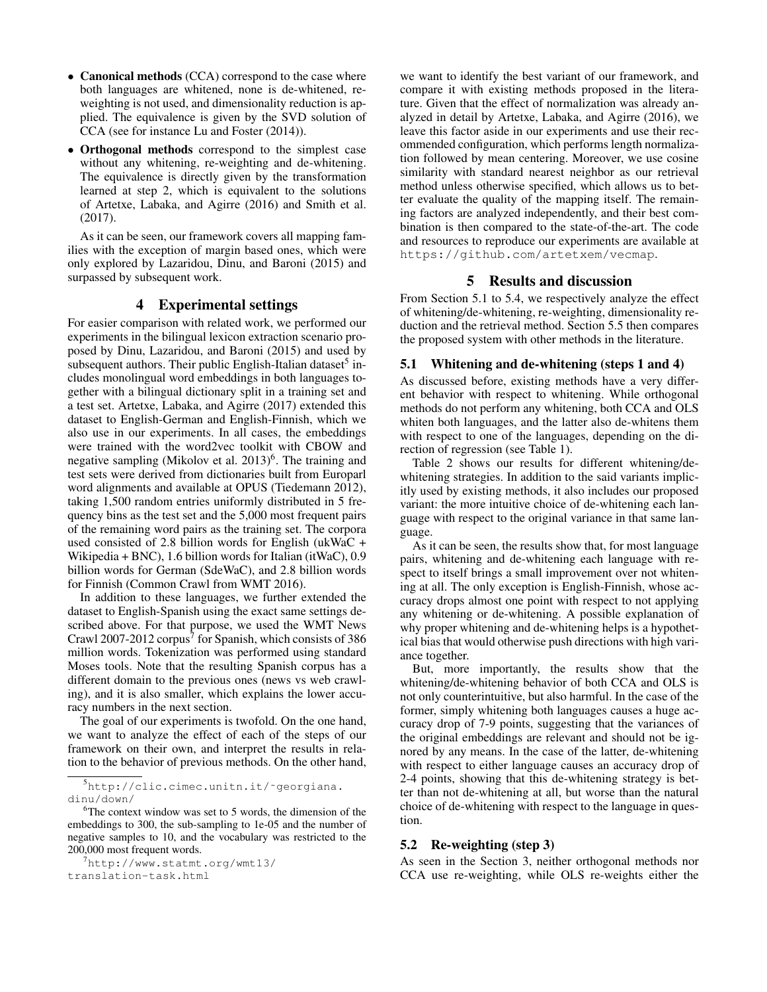- Canonical methods (CCA) correspond to the case where both languages are whitened, none is de-whitened, reweighting is not used, and dimensionality reduction is applied. The equivalence is given by the SVD solution of CCA (see for instance Lu and Foster (2014)).
- Orthogonal methods correspond to the simplest case without any whitening, re-weighting and de-whitening. The equivalence is directly given by the transformation learned at step 2, which is equivalent to the solutions of Artetxe, Labaka, and Agirre (2016) and Smith et al. (2017).

As it can be seen, our framework covers all mapping families with the exception of margin based ones, which were only explored by Lazaridou, Dinu, and Baroni (2015) and surpassed by subsequent work.

# 4 Experimental settings

For easier comparison with related work, we performed our experiments in the bilingual lexicon extraction scenario proposed by Dinu, Lazaridou, and Baroni (2015) and used by subsequent authors. Their public English-Italian dataset<sup>5</sup> includes monolingual word embeddings in both languages together with a bilingual dictionary split in a training set and a test set. Artetxe, Labaka, and Agirre (2017) extended this dataset to English-German and English-Finnish, which we also use in our experiments. In all cases, the embeddings were trained with the word2vec toolkit with CBOW and negative sampling (Mikolov et al. 2013)<sup>6</sup>. The training and test sets were derived from dictionaries built from Europarl word alignments and available at OPUS (Tiedemann 2012), taking 1,500 random entries uniformly distributed in 5 frequency bins as the test set and the 5,000 most frequent pairs of the remaining word pairs as the training set. The corpora used consisted of 2.8 billion words for English (ukWaC + Wikipedia + BNC), 1.6 billion words for Italian (itWaC), 0.9 billion words for German (SdeWaC), and 2.8 billion words for Finnish (Common Crawl from WMT 2016).

In addition to these languages, we further extended the dataset to English-Spanish using the exact same settings described above. For that purpose, we used the WMT News Crawl 2007-2012 corpus<sup>7</sup> for Spanish, which consists of 386 million words. Tokenization was performed using standard Moses tools. Note that the resulting Spanish corpus has a different domain to the previous ones (news vs web crawling), and it is also smaller, which explains the lower accuracy numbers in the next section.

The goal of our experiments is twofold. On the one hand, we want to analyze the effect of each of the steps of our framework on their own, and interpret the results in relation to the behavior of previous methods. On the other hand,

we want to identify the best variant of our framework, and compare it with existing methods proposed in the literature. Given that the effect of normalization was already analyzed in detail by Artetxe, Labaka, and Agirre (2016), we leave this factor aside in our experiments and use their recommended configuration, which performs length normalization followed by mean centering. Moreover, we use cosine similarity with standard nearest neighbor as our retrieval method unless otherwise specified, which allows us to better evaluate the quality of the mapping itself. The remaining factors are analyzed independently, and their best combination is then compared to the state-of-the-art. The code and resources to reproduce our experiments are available at https://github.com/artetxem/vecmap.

# 5 Results and discussion

From Section 5.1 to 5.4, we respectively analyze the effect of whitening/de-whitening, re-weighting, dimensionality reduction and the retrieval method. Section 5.5 then compares the proposed system with other methods in the literature.

# 5.1 Whitening and de-whitening (steps 1 and 4)

As discussed before, existing methods have a very different behavior with respect to whitening. While orthogonal methods do not perform any whitening, both CCA and OLS whiten both languages, and the latter also de-whitens them with respect to one of the languages, depending on the direction of regression (see Table 1).

Table 2 shows our results for different whitening/dewhitening strategies. In addition to the said variants implicitly used by existing methods, it also includes our proposed variant: the more intuitive choice of de-whitening each language with respect to the original variance in that same language.

As it can be seen, the results show that, for most language pairs, whitening and de-whitening each language with respect to itself brings a small improvement over not whitening at all. The only exception is English-Finnish, whose accuracy drops almost one point with respect to not applying any whitening or de-whitening. A possible explanation of why proper whitening and de-whitening helps is a hypothetical bias that would otherwise push directions with high variance together.

But, more importantly, the results show that the whitening/de-whitening behavior of both CCA and OLS is not only counterintuitive, but also harmful. In the case of the former, simply whitening both languages causes a huge accuracy drop of 7-9 points, suggesting that the variances of the original embeddings are relevant and should not be ignored by any means. In the case of the latter, de-whitening with respect to either language causes an accuracy drop of 2-4 points, showing that this de-whitening strategy is better than not de-whitening at all, but worse than the natural choice of de-whitening with respect to the language in question.

#### 5.2 Re-weighting (step 3)

As seen in the Section 3, neither orthogonal methods nor CCA use re-weighting, while OLS re-weights either the

<sup>5</sup>http://clic.cimec.unitn.it/˜georgiana. dinu/down/

 $6$ The context window was set to 5 words, the dimension of the embeddings to 300, the sub-sampling to 1e-05 and the number of negative samples to 10, and the vocabulary was restricted to the 200,000 most frequent words.

<sup>7</sup>http://www.statmt.org/wmt13/ translation-task.html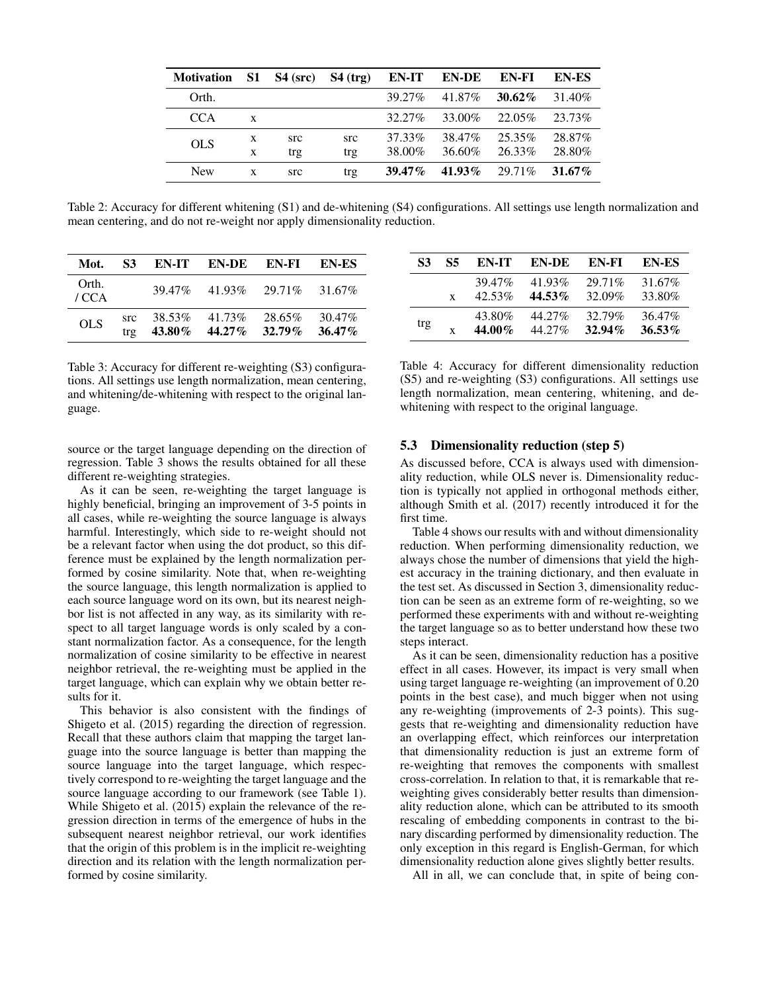| <b>Motivation</b> | S1 | $S4$ (src) | $S4$ (trg) | EN-IT     | <b>EN-DE</b> | EN-FI     | <b>EN-ES</b> |
|-------------------|----|------------|------------|-----------|--------------|-----------|--------------|
| Orth.             |    |            |            | 39.27%    | 41.87%       | $30.62\%$ | 31.40%       |
| <b>CCA</b>        | X  |            |            | 32.27%    | 33.00%       | 22.05%    | 23.73%       |
| <b>OLS</b>        | X  | src        | src        | 37.33%    | 38.47%       | 25.35%    | 28.87%       |
|                   | X  | trg        | trg        | 38.00%    | 36.60%       | 26.33%    | 28.80%       |
| <b>New</b>        | X  | src        | trg        | $39.47\%$ | 41.93%       | 29.71\%   | $31.67\%$    |

Table 2: Accuracy for different whitening (S1) and de-whitening (S4) configurations. All settings use length normalization and mean centering, and do not re-weight nor apply dimensionality reduction.

| Mot.         | <b>S3</b>          |        | EN-IT EN-DE EN-FI EN-ES                           |         |        |
|--------------|--------------------|--------|---------------------------------------------------|---------|--------|
| Orth.<br>/CA |                    | 39.47% | 41.93%                                            | 29.71\% | 31.67% |
| <b>OLS</b>   | src.<br>$tr\sigma$ | 38.53% | 41.73%<br>$43.80\%$ $44.27\%$ $32.79\%$ $36.47\%$ | 28.65%  | 30.47% |

Table 3: Accuracy for different re-weighting (S3) configurations. All settings use length normalization, mean centering, and whitening/de-whitening with respect to the original language.

source or the target language depending on the direction of regression. Table 3 shows the results obtained for all these different re-weighting strategies.

As it can be seen, re-weighting the target language is highly beneficial, bringing an improvement of 3-5 points in all cases, while re-weighting the source language is always harmful. Interestingly, which side to re-weight should not be a relevant factor when using the dot product, so this difference must be explained by the length normalization performed by cosine similarity. Note that, when re-weighting the source language, this length normalization is applied to each source language word on its own, but its nearest neighbor list is not affected in any way, as its similarity with respect to all target language words is only scaled by a constant normalization factor. As a consequence, for the length normalization of cosine similarity to be effective in nearest neighbor retrieval, the re-weighting must be applied in the target language, which can explain why we obtain better results for it.

This behavior is also consistent with the findings of Shigeto et al. (2015) regarding the direction of regression. Recall that these authors claim that mapping the target language into the source language is better than mapping the source language into the target language, which respectively correspond to re-weighting the target language and the source language according to our framework (see Table 1). While Shigeto et al. (2015) explain the relevance of the regression direction in terms of the emergence of hubs in the subsequent nearest neighbor retrieval, our work identifies that the origin of this problem is in the implicit re-weighting direction and its relation with the length normalization performed by cosine similarity.

| 83  | 85 | EN-IT               | EN-DE                  | EN-FI               | EN-ES               |
|-----|----|---------------------|------------------------|---------------------|---------------------|
|     | X  | 39.47%<br>$42.53\%$ | $41.93\%$<br>$44.53\%$ | 29.71\%<br>32.09%   | 31.67%<br>33.80%    |
| trg | x  | 43.80%<br>44.00%    | 44.27%<br>44.27%       | 32.79%<br>$32.94\%$ | 36.47%<br>$36.53\%$ |

Table 4: Accuracy for different dimensionality reduction (S5) and re-weighting (S3) configurations. All settings use length normalization, mean centering, whitening, and dewhitening with respect to the original language.

## 5.3 Dimensionality reduction (step 5)

As discussed before, CCA is always used with dimensionality reduction, while OLS never is. Dimensionality reduction is typically not applied in orthogonal methods either, although Smith et al.  $(2017)$  recently introduced it for the first time.

Table 4 shows our results with and without dimensionality reduction. When performing dimensionality reduction, we always chose the number of dimensions that yield the highest accuracy in the training dictionary, and then evaluate in the test set. As discussed in Section 3, dimensionality reduction can be seen as an extreme form of re-weighting, so we performed these experiments with and without re-weighting the target language so as to better understand how these two steps interact.

As it can be seen, dimensionality reduction has a positive effect in all cases. However, its impact is very small when using target language re-weighting (an improvement of 0.20 points in the best case), and much bigger when not using any re-weighting (improvements of 2-3 points). This suggests that re-weighting and dimensionality reduction have an overlapping effect, which reinforces our interpretation that dimensionality reduction is just an extreme form of re-weighting that removes the components with smallest cross-correlation. In relation to that, it is remarkable that reweighting gives considerably better results than dimensionality reduction alone, which can be attributed to its smooth rescaling of embedding components in contrast to the binary discarding performed by dimensionality reduction. The only exception in this regard is English-German, for which dimensionality reduction alone gives slightly better results.

All in all, we can conclude that, in spite of being con-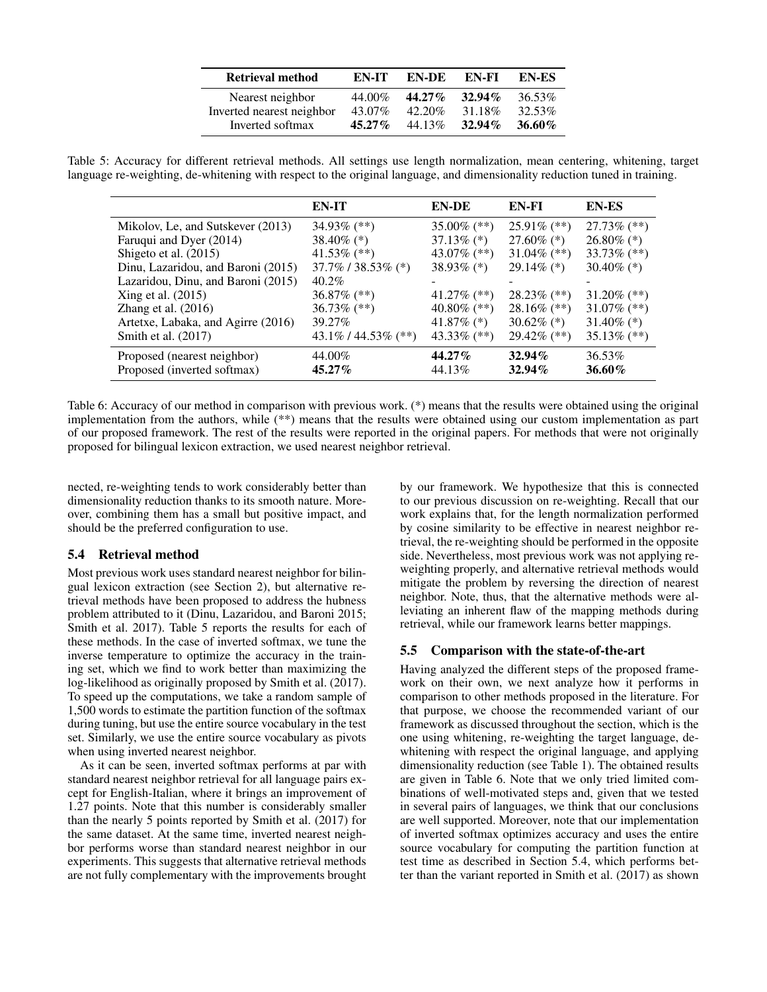| <b>Retrieval method</b>   | EN-IT     | EN-DE     | EN-FI     | EN-ES     |
|---------------------------|-----------|-----------|-----------|-----------|
| Nearest neighbor          | 44.00%    | $44.27\%$ | $32.94\%$ | 36.53%    |
| Inverted nearest neighbor | 43.07%    | 42.20%    | 31.18%    | 32.53%    |
| Inverted softmax          | $45.27\%$ | 44.13%    | $32.94\%$ | $36.60\%$ |

Table 5: Accuracy for different retrieval methods. All settings use length normalization, mean centering, whitening, target language re-weighting, de-whitening with respect to the original language, and dimensionality reduction tuned in training.

|                                                            | EN-IT                   | EN-DE               | EN-FI                  | <b>EN-ES</b>     |
|------------------------------------------------------------|-------------------------|---------------------|------------------------|------------------|
| Mikolov, Le, and Sutskever (2013)                          | 34.93% $(**)$           | 35.00% $(**)$       | 25.91% $(**)$          | $27.73\%$ (**)   |
| Faruqui and Dyer (2014)                                    | 38.40\% $(*)$           | $37.13\%$ (*)       | $27.60\%$ (*)          | $26.80\%$ (*)    |
| Shigeto et al. (2015)                                      | 41.53% $(**)$           | 43.07\% $(**)$      | $31.04\%$ (**)         | 33.73% $(**)$    |
| Dinu, Lazaridou, and Baroni (2015)                         | 37.7% / 38.53% (*)      | $38.93\%$ (*)       | $29.14\%$ (*)          | 30.40\% $(*)$    |
| Lazaridou, Dinu, and Baroni (2015)                         | $40.2\%$                |                     |                        |                  |
| Xing et al. $(2015)$                                       | $36.87\%$ (**)          | 41.27\% $(**)$      | $28.23\%$ (**)         | $31.20\%$ (**)   |
| Zhang et al. $(2016)$                                      | 36.73% $(**)$           | 40.80\% $(**)$      | $28.16\%$ (**)         | 31.07% $(**)$    |
| Artetxe, Labaka, and Agirre (2016)                         | 39.27%                  | 41.87\% $(*)$       | $30.62\%$ (*)          | 31.40\% $(*)$    |
| Smith et al. (2017)                                        | $43.1\% / 44.53\%$ (**) | $43.33\%$ (**)      | $29.42\%$ (**)         | 35.13% $(**)$    |
| Proposed (nearest neighbor)<br>Proposed (inverted softmax) | 44.00%<br>45.27%        | $44.27\%$<br>44.13% | $32.94\%$<br>$32.94\%$ | 36.53%<br>36.60% |

Table 6: Accuracy of our method in comparison with previous work. (\*) means that the results were obtained using the original implementation from the authors, while (\*\*) means that the results were obtained using our custom implementation as part of our proposed framework. The rest of the results were reported in the original papers. For methods that were not originally proposed for bilingual lexicon extraction, we used nearest neighbor retrieval.

nected, re-weighting tends to work considerably better than dimensionality reduction thanks to its smooth nature. Moreover, combining them has a small but positive impact, and should be the preferred configuration to use.

# 5.4 Retrieval method

Most previous work uses standard nearest neighbor for bilingual lexicon extraction (see Section 2), but alternative retrieval methods have been proposed to address the hubness problem attributed to it (Dinu, Lazaridou, and Baroni 2015; Smith et al. 2017). Table 5 reports the results for each of these methods. In the case of inverted softmax, we tune the inverse temperature to optimize the accuracy in the training set, which we find to work better than maximizing the log-likelihood as originally proposed by Smith et al. (2017). To speed up the computations, we take a random sample of 1,500 words to estimate the partition function of the softmax during tuning, but use the entire source vocabulary in the test set. Similarly, we use the entire source vocabulary as pivots when using inverted nearest neighbor.

As it can be seen, inverted softmax performs at par with standard nearest neighbor retrieval for all language pairs except for English-Italian, where it brings an improvement of 1.27 points. Note that this number is considerably smaller than the nearly 5 points reported by Smith et al. (2017) for the same dataset. At the same time, inverted nearest neighbor performs worse than standard nearest neighbor in our experiments. This suggests that alternative retrieval methods are not fully complementary with the improvements brought by our framework. We hypothesize that this is connected to our previous discussion on re-weighting. Recall that our work explains that, for the length normalization performed by cosine similarity to be effective in nearest neighbor retrieval, the re-weighting should be performed in the opposite side. Nevertheless, most previous work was not applying reweighting properly, and alternative retrieval methods would mitigate the problem by reversing the direction of nearest neighbor. Note, thus, that the alternative methods were alleviating an inherent flaw of the mapping methods during retrieval, while our framework learns better mappings.

# 5.5 Comparison with the state-of-the-art

Having analyzed the different steps of the proposed framework on their own, we next analyze how it performs in comparison to other methods proposed in the literature. For that purpose, we choose the recommended variant of our framework as discussed throughout the section, which is the one using whitening, re-weighting the target language, dewhitening with respect the original language, and applying dimensionality reduction (see Table 1). The obtained results are given in Table 6. Note that we only tried limited combinations of well-motivated steps and, given that we tested in several pairs of languages, we think that our conclusions are well supported. Moreover, note that our implementation of inverted softmax optimizes accuracy and uses the entire source vocabulary for computing the partition function at test time as described in Section 5.4, which performs better than the variant reported in Smith et al. (2017) as shown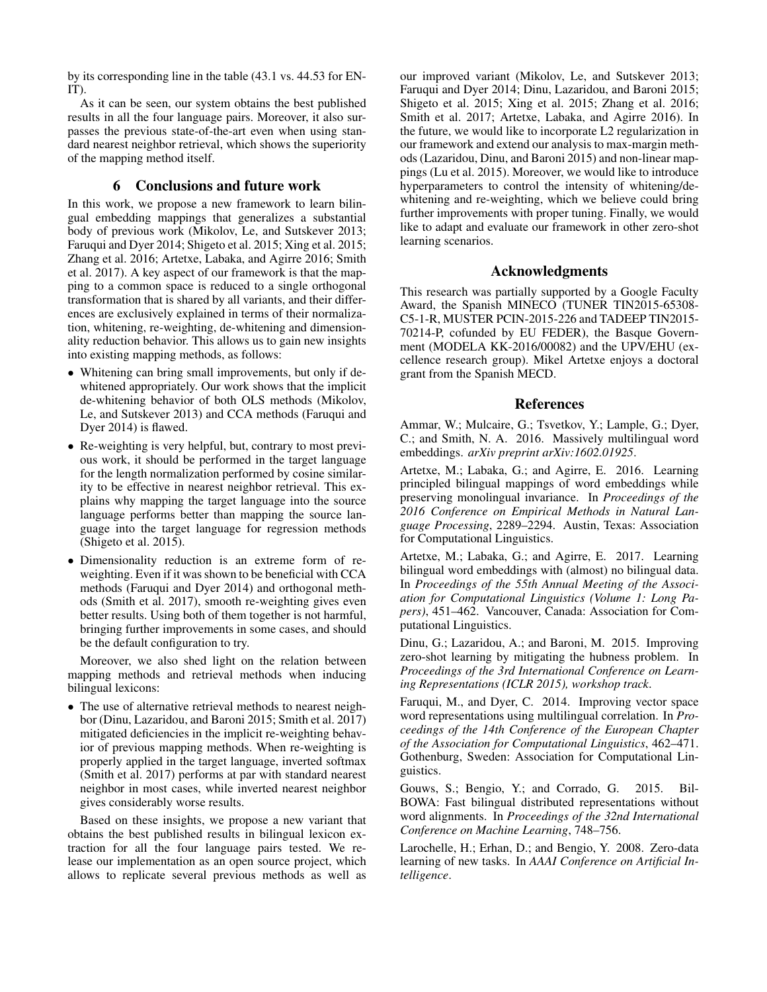by its corresponding line in the table (43.1 vs. 44.53 for EN-IT).

As it can be seen, our system obtains the best published results in all the four language pairs. Moreover, it also surpasses the previous state-of-the-art even when using standard nearest neighbor retrieval, which shows the superiority of the mapping method itself.

# 6 Conclusions and future work

In this work, we propose a new framework to learn bilingual embedding mappings that generalizes a substantial body of previous work (Mikolov, Le, and Sutskever 2013; Faruqui and Dyer 2014; Shigeto et al. 2015; Xing et al. 2015; Zhang et al. 2016; Artetxe, Labaka, and Agirre 2016; Smith et al. 2017). A key aspect of our framework is that the mapping to a common space is reduced to a single orthogonal transformation that is shared by all variants, and their differences are exclusively explained in terms of their normalization, whitening, re-weighting, de-whitening and dimensionality reduction behavior. This allows us to gain new insights into existing mapping methods, as follows:

- Whitening can bring small improvements, but only if dewhitened appropriately. Our work shows that the implicit de-whitening behavior of both OLS methods (Mikolov, Le, and Sutskever 2013) and CCA methods (Faruqui and Dyer 2014) is flawed.
- Re-weighting is very helpful, but, contrary to most previous work, it should be performed in the target language for the length normalization performed by cosine similarity to be effective in nearest neighbor retrieval. This explains why mapping the target language into the source language performs better than mapping the source language into the target language for regression methods (Shigeto et al. 2015).
- Dimensionality reduction is an extreme form of reweighting. Even if it was shown to be beneficial with CCA methods (Faruqui and Dyer 2014) and orthogonal methods (Smith et al. 2017), smooth re-weighting gives even better results. Using both of them together is not harmful, bringing further improvements in some cases, and should be the default configuration to try.

Moreover, we also shed light on the relation between mapping methods and retrieval methods when inducing bilingual lexicons:

• The use of alternative retrieval methods to nearest neighbor (Dinu, Lazaridou, and Baroni 2015; Smith et al. 2017) mitigated deficiencies in the implicit re-weighting behavior of previous mapping methods. When re-weighting is properly applied in the target language, inverted softmax (Smith et al. 2017) performs at par with standard nearest neighbor in most cases, while inverted nearest neighbor gives considerably worse results.

Based on these insights, we propose a new variant that obtains the best published results in bilingual lexicon extraction for all the four language pairs tested. We release our implementation as an open source project, which allows to replicate several previous methods as well as

our improved variant (Mikolov, Le, and Sutskever 2013; Faruqui and Dyer 2014; Dinu, Lazaridou, and Baroni 2015; Shigeto et al. 2015; Xing et al. 2015; Zhang et al. 2016; Smith et al. 2017; Artetxe, Labaka, and Agirre 2016). In the future, we would like to incorporate L2 regularization in our framework and extend our analysis to max-margin methods (Lazaridou, Dinu, and Baroni 2015) and non-linear mappings (Lu et al. 2015). Moreover, we would like to introduce hyperparameters to control the intensity of whitening/dewhitening and re-weighting, which we believe could bring further improvements with proper tuning. Finally, we would like to adapt and evaluate our framework in other zero-shot learning scenarios.

## Acknowledgments

This research was partially supported by a Google Faculty Award, the Spanish MINECO (TUNER TIN2015-65308- C5-1-R, MUSTER PCIN-2015-226 and TADEEP TIN2015- 70214-P, cofunded by EU FEDER), the Basque Government (MODELA KK-2016/00082) and the UPV/EHU (excellence research group). Mikel Artetxe enjoys a doctoral grant from the Spanish MECD.

# References

Ammar, W.; Mulcaire, G.; Tsvetkov, Y.; Lample, G.; Dyer, C.; and Smith, N. A. 2016. Massively multilingual word embeddings. *arXiv preprint arXiv:1602.01925*.

Artetxe, M.; Labaka, G.; and Agirre, E. 2016. Learning principled bilingual mappings of word embeddings while preserving monolingual invariance. In *Proceedings of the 2016 Conference on Empirical Methods in Natural Language Processing*, 2289–2294. Austin, Texas: Association for Computational Linguistics.

Artetxe, M.; Labaka, G.; and Agirre, E. 2017. Learning bilingual word embeddings with (almost) no bilingual data. In *Proceedings of the 55th Annual Meeting of the Association for Computational Linguistics (Volume 1: Long Papers)*, 451–462. Vancouver, Canada: Association for Computational Linguistics.

Dinu, G.; Lazaridou, A.; and Baroni, M. 2015. Improving zero-shot learning by mitigating the hubness problem. In *Proceedings of the 3rd International Conference on Learning Representations (ICLR 2015), workshop track*.

Faruqui, M., and Dyer, C. 2014. Improving vector space word representations using multilingual correlation. In *Proceedings of the 14th Conference of the European Chapter of the Association for Computational Linguistics*, 462–471. Gothenburg, Sweden: Association for Computational Linguistics.

Gouws, S.; Bengio, Y.; and Corrado, G. 2015. Bil-BOWA: Fast bilingual distributed representations without word alignments. In *Proceedings of the 32nd International Conference on Machine Learning*, 748–756.

Larochelle, H.; Erhan, D.; and Bengio, Y. 2008. Zero-data learning of new tasks. In *AAAI Conference on Artificial Intelligence*.